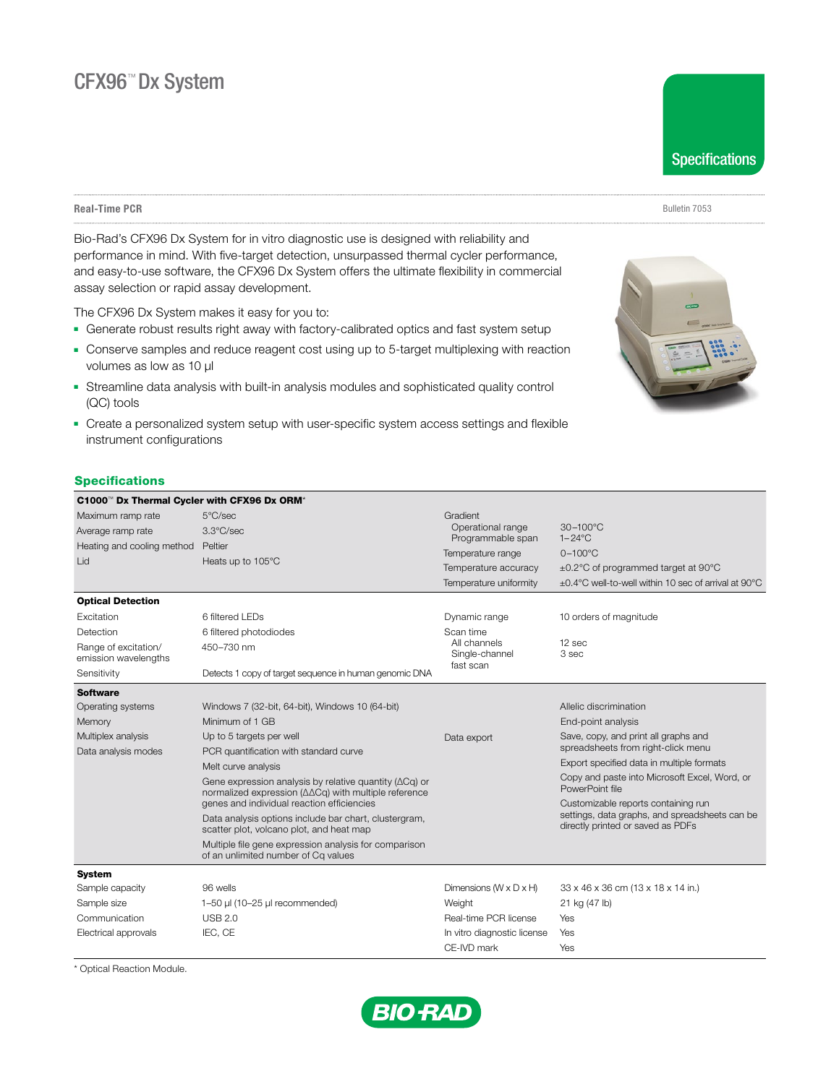**Real-Time PCR** Bulletin 7053

Bio-Rad's CFX96 Dx System for in vitro diagnostic use is designed with reliability and performance in mind. With five-target detection, unsurpassed thermal cycler performance, and easy-to-use software, the CFX96 Dx System offers the ultimate flexibility in commercial assay selection or rapid assay development.

The CFX96 Dx System makes it easy for you to:

- **-** Generate robust results right away with factory-calibrated optics and fast system setup
- Conserve samples and reduce reagent cost using up to 5-target multiplexing with reaction volumes as low as 10 μl
- **-** Streamline data analysis with built-in analysis modules and sophisticated quality control (QC) tools
- Create a personalized system setup with user-specific system access settings and flexible instrument configurations

# **Specifications**

| C1000 <sup>™</sup> Dx Thermal Cycler with CFX96 Dx ORM <sup>*</sup> |                                                                                                                         |                                                |                                                                                                       |  |
|---------------------------------------------------------------------|-------------------------------------------------------------------------------------------------------------------------|------------------------------------------------|-------------------------------------------------------------------------------------------------------|--|
| Maximum ramp rate                                                   | 5°C/sec                                                                                                                 | Gradient                                       |                                                                                                       |  |
| Average ramp rate                                                   | 3.3°C/sec                                                                                                               | Operational range<br>Programmable span         | 30-100°C<br>$1 - 24$ °C                                                                               |  |
| Heating and cooling method                                          | Peltier                                                                                                                 | Temperature range                              | $0-100^{\circ}$ C                                                                                     |  |
| Lid                                                                 | Heats up to 105°C                                                                                                       |                                                |                                                                                                       |  |
|                                                                     |                                                                                                                         | Temperature accuracy<br>Temperature uniformity | $\pm$ 0.2°C of programmed target at 90°C<br>$\pm$ 0.4°C well-to-well within 10 sec of arrival at 90°C |  |
|                                                                     |                                                                                                                         |                                                |                                                                                                       |  |
| <b>Optical Detection</b>                                            |                                                                                                                         |                                                |                                                                                                       |  |
| Excitation                                                          | 6 filtered LEDs                                                                                                         | Dynamic range                                  | 10 orders of magnitude                                                                                |  |
| Detection                                                           | 6 filtered photodiodes                                                                                                  | Scan time                                      |                                                                                                       |  |
| Range of excitation/<br>emission wavelengths                        | 450-730 nm                                                                                                              | All channels<br>Single-channel<br>fast scan    | 12 sec<br>3 sec                                                                                       |  |
| Sensitivity                                                         | Detects 1 copy of target sequence in human genomic DNA                                                                  |                                                |                                                                                                       |  |
| <b>Software</b>                                                     |                                                                                                                         |                                                |                                                                                                       |  |
| Operating systems                                                   | Windows 7 (32-bit, 64-bit), Windows 10 (64-bit)                                                                         |                                                | Allelic discrimination                                                                                |  |
| Memory                                                              | Minimum of 1 GB                                                                                                         |                                                | End-point analysis                                                                                    |  |
| Multiplex analysis                                                  | Up to 5 targets per well                                                                                                | Data export                                    | Save, copy, and print all graphs and                                                                  |  |
| Data analysis modes                                                 | PCR quantification with standard curve                                                                                  |                                                | spreadsheets from right-click menu                                                                    |  |
|                                                                     | Melt curve analysis                                                                                                     |                                                | Export specified data in multiple formats                                                             |  |
|                                                                     | Gene expression analysis by relative quantity ( $\Delta$ Cq) or<br>normalized expression (ΔΔCq) with multiple reference |                                                | Copy and paste into Microsoft Excel, Word, or<br>PowerPoint file                                      |  |
|                                                                     | genes and individual reaction efficiencies                                                                              |                                                | Customizable reports containing run                                                                   |  |
|                                                                     | Data analysis options include bar chart, clustergram,<br>scatter plot, volcano plot, and heat map                       |                                                | settings, data graphs, and spreadsheets can be<br>directly printed or saved as PDFs                   |  |
|                                                                     | Multiple file gene expression analysis for comparison<br>of an unlimited number of Cq values                            |                                                |                                                                                                       |  |
| <b>System</b>                                                       |                                                                                                                         |                                                |                                                                                                       |  |
| Sample capacity                                                     | 96 wells                                                                                                                | Dimensions $(W \times D \times H)$             | 33 x 46 x 36 cm (13 x 18 x 14 in.)                                                                    |  |
| Sample size                                                         | 1-50 µl (10-25 µl recommended)                                                                                          | Weight                                         | 21 kg (47 lb)                                                                                         |  |
| Communication                                                       | <b>USB 2.0</b>                                                                                                          | Real-time PCR license                          | Yes                                                                                                   |  |
| Electrical approvals                                                | IEC, CE                                                                                                                 | In vitro diagnostic license                    | Yes                                                                                                   |  |
|                                                                     |                                                                                                                         | CE-IVD mark                                    | Yes                                                                                                   |  |

\* Optical Reaction Module.